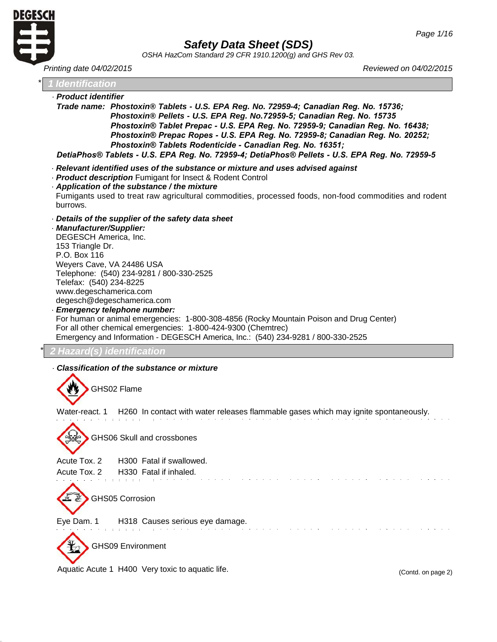

|                                                                                         |                                                                                                                                                                                                                                                                                                              | OSHA HazCom Standard 29 CFR 1910.1200(g) and GHS Rev 03.                                                                                                                                                                                                                                                                                                                                                                            |
|-----------------------------------------------------------------------------------------|--------------------------------------------------------------------------------------------------------------------------------------------------------------------------------------------------------------------------------------------------------------------------------------------------------------|-------------------------------------------------------------------------------------------------------------------------------------------------------------------------------------------------------------------------------------------------------------------------------------------------------------------------------------------------------------------------------------------------------------------------------------|
| Printing date 04/02/2015                                                                |                                                                                                                                                                                                                                                                                                              | Reviewed on 04/02/2015                                                                                                                                                                                                                                                                                                                                                                                                              |
| <b>I</b> Identification                                                                 |                                                                                                                                                                                                                                                                                                              |                                                                                                                                                                                                                                                                                                                                                                                                                                     |
| · Product identifier                                                                    | Phostoxin® Tablets Rodenticide - Canadian Reg. No. 16351;                                                                                                                                                                                                                                                    | Trade name: Phostoxin® Tablets - U.S. EPA Reg. No. 72959-4; Canadian Reg. No. 15736;<br>Phostoxin® Pellets - U.S. EPA Reg. No.72959-5; Canadian Reg. No. 15735<br>Phostoxin® Tablet Prepac - U.S. EPA Reg. No. 72959-9; Canadian Reg. No. 16438;<br>Phostoxin® Prepac Ropes - U.S. EPA Reg. No. 72959-8; Canadian Reg. No. 20252;<br>DetiaPhos® Tablets - U.S. EPA Reg. No. 72959-4; DetiaPhos® Pellets - U.S. EPA Reg. No. 72959-5 |
| burrows.                                                                                | · Relevant identified uses of the substance or mixture and uses advised against<br>- Product description Fumigant for Insect & Rodent Control<br>Application of the substance / the mixture                                                                                                                  | Fumigants used to treat raw agricultural commodities, processed foods, non-food commodities and rodent                                                                                                                                                                                                                                                                                                                              |
| · Manufacturer/Supplier:<br>153 Triangle Dr.<br>P.O. Box 116<br>Telefax: (540) 234-8225 | Details of the supplier of the safety data sheet<br>DEGESCH America, Inc.<br>Weyers Cave, VA 24486 USA<br>Telephone: (540) 234-9281 / 800-330-2525<br>www.degeschamerica.com<br>degesch@degeschamerica.com<br>· Emergency telephone number:<br>For all other chemical emergencies: 1-800-424-9300 (Chemtrec) | For human or animal emergencies: 1-800-308-4856 (Rocky Mountain Poison and Drug Center)<br>Emergency and Information - DEGESCH America, Inc.: (540) 234-9281 / 800-330-2525                                                                                                                                                                                                                                                         |
|                                                                                         | Hazard(s) identification                                                                                                                                                                                                                                                                                     |                                                                                                                                                                                                                                                                                                                                                                                                                                     |
|                                                                                         | Classification of the substance or mixture<br>GHS02 Flame<br>GHS06 Skull and crossbones                                                                                                                                                                                                                      | Water-react. 1 H260 In contact with water releases flammable gases which may janite spontaneously.                                                                                                                                                                                                                                                                                                                                  |
| Acute Tox. 2<br>Acute Tox. 2                                                            | H300 Fatal if swallowed.<br>H330 Fatal if inhaled.                                                                                                                                                                                                                                                           |                                                                                                                                                                                                                                                                                                                                                                                                                                     |

GHS05 Corrosion

Eye Dam. 1 H318 Causes serious eye damage.

GHS09 Environment

Aquatic Acute 1 H400 Very toxic to aquatic life. (Contd. on page 2)

and control

 $\mathcal{L}$ **Service**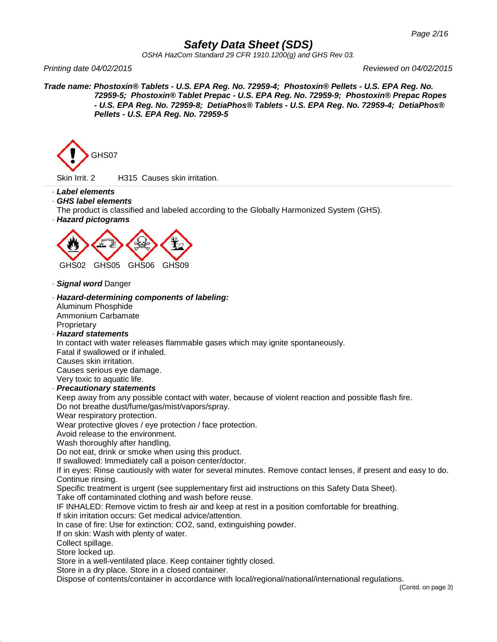*OSHA HazCom Standard 29 CFR 1910.1200(g) and GHS Rev 03.*

*Printing date 04/02/2015 Reviewed on 04/02/2015*

*Trade name: Phostoxin® Tablets - U.S. EPA Reg. No. 72959-4; Phostoxin® Pellets - U.S. EPA Reg. No. 72959-5; Phostoxin® Tablet Prepac - U.S. EPA Reg. No. 72959-9; Phostoxin® Prepac Ropes - U.S. EPA Reg. No. 72959-8; DetiaPhos® Tablets - U.S. EPA Reg. No. 72959-4; DetiaPhos® Pellets - U.S. EPA Reg. No. 72959-5*



Skin Irrit. 2 H315 Causes skin irritation.

- · *Label elements*
- · *GHS label elements*
- The product is classified and labeled according to the Globally Harmonized System (GHS).
- · *Hazard pictograms*



- · *Signal word* Danger
- · *Hazard-determining components of labeling:*
- Aluminum Phosphide Ammonium Carbamate **Proprietary**
- · *Hazard statements*

In contact with water releases flammable gases which may ignite spontaneously.

Fatal if swallowed or if inhaled. Causes skin irritation.

Causes serious eye damage. Very toxic to aquatic life.

· *Precautionary statements*

Keep away from any possible contact with water, because of violent reaction and possible flash fire. Do not breathe dust/fume/gas/mist/vapors/spray.

Wear respiratory protection.

Wear protective gloves / eye protection / face protection.

Avoid release to the environment.

Wash thoroughly after handling.

Do not eat, drink or smoke when using this product.

If swallowed: Immediately call a poison center/doctor.

If in eyes: Rinse cautiously with water for several minutes. Remove contact lenses, if present and easy to do. Continue rinsing.

Specific treatment is urgent (see supplementary first aid instructions on this Safety Data Sheet).

Take off contaminated clothing and wash before reuse.

IF INHALED: Remove victim to fresh air and keep at rest in a position comfortable for breathing.

If skin irritation occurs: Get medical advice/attention.

In case of fire: Use for extinction: CO2, sand, extinguishing powder.

If on skin: Wash with plenty of water.

Collect spillage.

Store locked up.

Store in a well-ventilated place. Keep container tightly closed.

Store in a dry place. Store in a closed container.

Dispose of contents/container in accordance with local/regional/national/international regulations.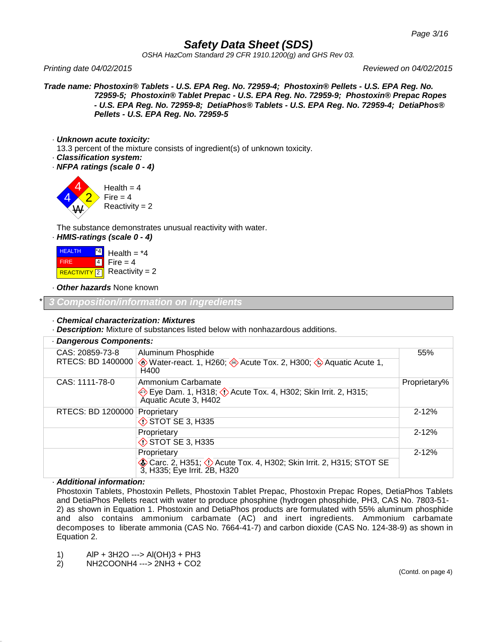*OSHA HazCom Standard 29 CFR 1910.1200(g) and GHS Rev 03.*

*Printing date 04/02/2015 Reviewed on 04/02/2015*

*Trade name: Phostoxin® Tablets - U.S. EPA Reg. No. 72959-4; Phostoxin® Pellets - U.S. EPA Reg. No. 72959-5; Phostoxin® Tablet Prepac - U.S. EPA Reg. No. 72959-9; Phostoxin® Prepac Ropes - U.S. EPA Reg. No. 72959-8; DetiaPhos® Tablets - U.S. EPA Reg. No. 72959-4; DetiaPhos® Pellets - U.S. EPA Reg. No. 72959-5*

· *Unknown acute toxicity:*

13.3 percent of the mixture consists of ingredient(s) of unknown toxicity.

- · *Classification system:*
- · *NFPA ratings (scale 0 - 4)*



The substance demonstrates unusual reactivity with water.

· *HMIS-ratings (scale 0 - 4)*

| <b>HEALTH</b> | $^*$ 4 | Health = $*4$               |
|---------------|--------|-----------------------------|
| <b>FIRE</b>   |        | $ 4 $ Fire = 4              |
|               |        | REACTIVITY 2 Reactivity = 2 |

· *Other hazards* None known

\* *3 Composition/information on ingredients*

#### · *Chemical characterization: Mixtures*

· *Description:* Mixture of substances listed below with nonhazardous additions.

| · Dangerous Components: |                                                                                                   |              |  |
|-------------------------|---------------------------------------------------------------------------------------------------|--------------|--|
| CAS: 20859-73-8         | Aluminum Phosphide                                                                                | 55%          |  |
| RTECS: BD 1400000       | Water-react. 1, H260; $\diamondsuit$ Acute Tox. 2, H300; $\diamondsuit$ Aquatic Acute 1,<br>H400  |              |  |
| CAS: 1111-78-0          | Ammonium Carbamate                                                                                | Proprietary% |  |
|                         | Eye Dam. 1, H318; $\Diamond$ Acute Tox. 4, H302; Skin Irrit. 2, H315;<br>Aquatic Acute 3, H402    |              |  |
| RTECS: BD 1200000       | Proprietary                                                                                       | $2 - 12%$    |  |
|                         | $\diamondsuit$ STOT SE 3, H335                                                                    |              |  |
|                         | Proprietary                                                                                       | $2 - 12%$    |  |
|                         | STOT SE 3, H335                                                                                   |              |  |
|                         | Proprietary                                                                                       | $2 - 12%$    |  |
|                         | Carc. 2, H351; 1 Acute Tox. 4, H302; Skin Irrit. 2, H315; STOT SE<br>3, H335; Eye Irrit. 2B, H320 |              |  |

#### · *Additional information:*

Phostoxin Tablets, Phostoxin Pellets, Phostoxin Tablet Prepac, Phostoxin Prepac Ropes, DetiaPhos Tablets and DetiaPhos Pellets react with water to produce phosphine (hydrogen phosphide, PH3, CAS No. 7803-51- 2) as shown in Equation 1. Phostoxin and DetiaPhos products are formulated with 55% aluminum phosphide and also contains ammonium carbamate (AC) and inert ingredients. Ammonium carbamate decomposes to liberate ammonia (CAS No. 7664-41-7) and carbon dioxide (CAS No. 124-38-9) as shown in Equation 2.

- 1) AlP + 3H2O ---> Al(OH)3 + PH3
- 2) NH2COONH4 ---> 2NH3 + CO2

(Contd. on page 4)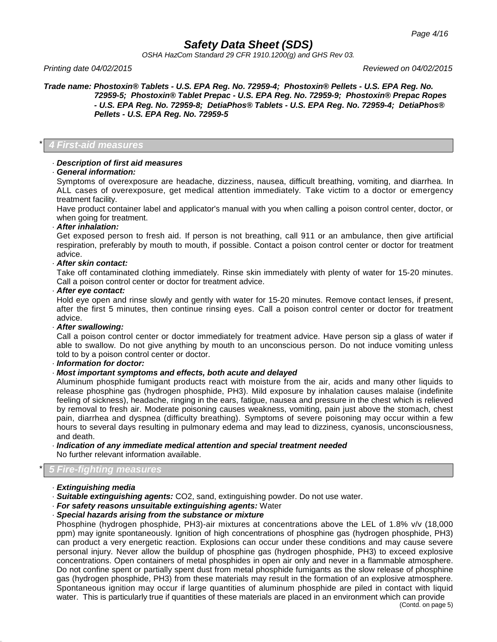*OSHA HazCom Standard 29 CFR 1910.1200(g) and GHS Rev 03.*

*Printing date 04/02/2015 Reviewed on 04/02/2015*

*Trade name: Phostoxin® Tablets - U.S. EPA Reg. No. 72959-4; Phostoxin® Pellets - U.S. EPA Reg. No. 72959-5; Phostoxin® Tablet Prepac - U.S. EPA Reg. No. 72959-9; Phostoxin® Prepac Ropes - U.S. EPA Reg. No. 72959-8; DetiaPhos® Tablets - U.S. EPA Reg. No. 72959-4; DetiaPhos® Pellets - U.S. EPA Reg. No. 72959-5*

#### \* *4 First-aid measures*

#### · *Description of first aid measures*

· *General information:*

Symptoms of overexposure are headache, dizziness, nausea, difficult breathing, vomiting, and diarrhea. In ALL cases of overexposure, get medical attention immediately. Take victim to a doctor or emergency treatment facility.

Have product container label and applicator's manual with you when calling a poison control center, doctor, or when going for treatment.

#### · *After inhalation:*

Get exposed person to fresh aid. If person is not breathing, call 911 or an ambulance, then give artificial respiration, preferably by mouth to mouth, if possible. Contact a poison control center or doctor for treatment advice.

#### · *After skin contact:*

Take off contaminated clothing immediately. Rinse skin immediately with plenty of water for 15-20 minutes. Call a poison control center or doctor for treatment advice.

#### · *After eye contact:*

Hold eye open and rinse slowly and gently with water for 15-20 minutes. Remove contact lenses, if present, after the first 5 minutes, then continue rinsing eyes. Call a poison control center or doctor for treatment advice.

#### · *After swallowing:*

Call a poison control center or doctor immediately for treatment advice. Have person sip a glass of water if able to swallow. Do not give anything by mouth to an unconscious person. Do not induce vomiting unless told to by a poison control center or doctor.

· *Information for doctor:*

### · *Most important symptoms and effects, both acute and delayed*

Aluminum phosphide fumigant products react with moisture from the air, acids and many other liquids to release phosphine gas (hydrogen phosphide, PH3). Mild exposure by inhalation causes malaise (indefinite feeling of sickness), headache, ringing in the ears, fatigue, nausea and pressure in the chest which is relieved by removal to fresh air. Moderate poisoning causes weakness, vomiting, pain just above the stomach, chest pain, diarrhea and dyspnea (difficulty breathing). Symptoms of severe poisoning may occur within a few hours to several days resulting in pulmonary edema and may lead to dizziness, cyanosis, unconsciousness, and death.

### · *Indication of any immediate medical attention and special treatment needed* No further relevant information available.

### \* *5 Fire-fighting measures*

### · *Extinguishing media*

- · *Suitable extinguishing agents:* CO2, sand, extinguishing powder. Do not use water.
- · *For safety reasons unsuitable extinguishing agents:* Water

#### · *Special hazards arising from the substance or mixture*

Phosphine (hydrogen phosphide, PH3)-air mixtures at concentrations above the LEL of 1.8% v/v (18,000 ppm) may ignite spontaneously. Ignition of high concentrations of phosphine gas (hydrogen phosphide, PH3) can product a very energetic reaction. Explosions can occur under these conditions and may cause severe personal injury. Never allow the buildup of phosphine gas (hydrogen phosphide, PH3) to exceed explosive concentrations. Open containers of metal phosphides in open air only and never in a flammable atmosphere. Do not confine spent or partially spent dust from metal phosphide fumigants as the slow release of phosphine gas (hydrogen phosphide, PH3) from these materials may result in the formation of an explosive atmosphere. Spontaneous ignition may occur if large quantities of aluminum phosphide are piled in contact with liquid water. This is particularly true if quantities of these materials are placed in an environment which can provide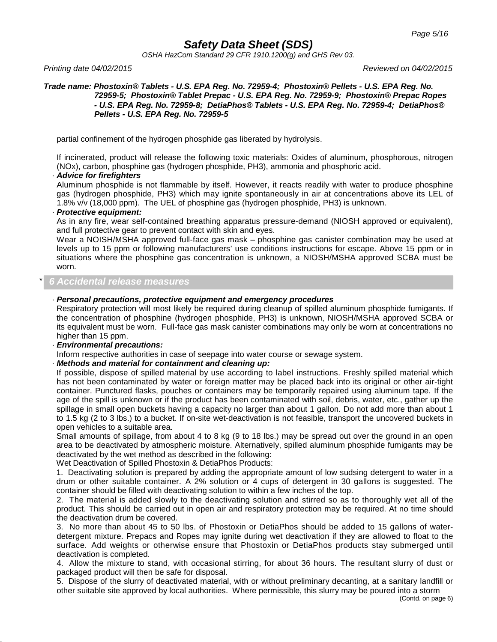*OSHA HazCom Standard 29 CFR 1910.1200(g) and GHS Rev 03.*

*Printing date 04/02/2015 Reviewed on 04/02/2015*

#### *Trade name: Phostoxin® Tablets - U.S. EPA Reg. No. 72959-4; Phostoxin® Pellets - U.S. EPA Reg. No. 72959-5; Phostoxin® Tablet Prepac - U.S. EPA Reg. No. 72959-9; Phostoxin® Prepac Ropes - U.S. EPA Reg. No. 72959-8; DetiaPhos® Tablets - U.S. EPA Reg. No. 72959-4; DetiaPhos® Pellets - U.S. EPA Reg. No. 72959-5*

partial confinement of the hydrogen phosphide gas liberated by hydrolysis.

If incinerated, product will release the following toxic materials: Oxides of aluminum, phosphorous, nitrogen (NOx), carbon, phosphine gas (hydrogen phosphide, PH3), ammonia and phosphoric acid.

#### · *Advice for firefighters*

Aluminum phosphide is not flammable by itself. However, it reacts readily with water to produce phosphine gas (hydrogen phosphide, PH3) which may ignite spontaneously in air at concentrations above its LEL of 1.8% v/v (18,000 ppm). The UEL of phosphine gas (hydrogen phosphide, PH3) is unknown.

#### · *Protective equipment:*

As in any fire, wear self-contained breathing apparatus pressure-demand (NIOSH approved or equivalent), and full protective gear to prevent contact with skin and eyes.

Wear a NOISH/MSHA approved full-face gas mask – phosphine gas canister combination may be used at levels up to 15 ppm or following manufacturers' use conditions instructions for escape. Above 15 ppm or in situations where the phosphine gas concentration is unknown, a NIOSH/MSHA approved SCBA must be worn.

### \* *6 Accidental release measures*

### · *Personal precautions, protective equipment and emergency procedures*

Respiratory protection will most likely be required during cleanup of spilled aluminum phosphide fumigants. If the concentration of phosphine (hydrogen phosphide, PH3) is unknown, NIOSH/MSHA approved SCBA or its equivalent must be worn. Full-face gas mask canister combinations may only be worn at concentrations no higher than 15 ppm.

### · *Environmental precautions:*

Inform respective authorities in case of seepage into water course or sewage system.

### · *Methods and material for containment and cleaning up:*

If possible, dispose of spilled material by use according to label instructions. Freshly spilled material which has not been contaminated by water or foreign matter may be placed back into its original or other air-tight container. Punctured flasks, pouches or containers may be temporarily repaired using aluminum tape. If the age of the spill is unknown or if the product has been contaminated with soil, debris, water, etc., gather up the spillage in small open buckets having a capacity no larger than about 1 gallon. Do not add more than about 1 to 1.5 kg (2 to 3 lbs.) to a bucket. If on-site wet-deactivation is not feasible, transport the uncovered buckets in open vehicles to a suitable area.

Small amounts of spillage, from about 4 to 8 kg (9 to 18 lbs.) may be spread out over the ground in an open area to be deactivated by atmospheric moisture. Alternatively, spilled aluminum phosphide fumigants may be deactivated by the wet method as described in the following:

Wet Deactivation of Spilled Phostoxin & DetiaPhos Products:

1. Deactivating solution is prepared by adding the appropriate amount of low sudsing detergent to water in a drum or other suitable container. A 2% solution or 4 cups of detergent in 30 gallons is suggested. The container should be filled with deactivating solution to within a few inches of the top.

2. The material is added slowly to the deactivating solution and stirred so as to thoroughly wet all of the product. This should be carried out in open air and respiratory protection may be required. At no time should the deactivation drum be covered.

3. No more than about 45 to 50 lbs. of Phostoxin or DetiaPhos should be added to 15 gallons of waterdetergent mixture. Prepacs and Ropes may ignite during wet deactivation if they are allowed to float to the surface. Add weights or otherwise ensure that Phostoxin or DetiaPhos products stay submerged until deactivation is completed.

4. Allow the mixture to stand, with occasional stirring, for about 36 hours. The resultant slurry of dust or packaged product will then be safe for disposal.

5. Dispose of the slurry of deactivated material, with or without preliminary decanting, at a sanitary landfill or other suitable site approved by local authorities. Where permissible, this slurry may be poured into a storm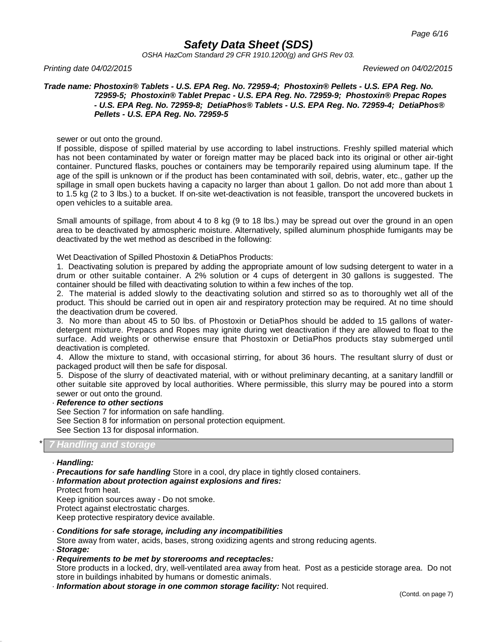*OSHA HazCom Standard 29 CFR 1910.1200(g) and GHS Rev 03.*

*Printing date 04/02/2015 Reviewed on 04/02/2015*

#### *Trade name: Phostoxin® Tablets - U.S. EPA Reg. No. 72959-4; Phostoxin® Pellets - U.S. EPA Reg. No. 72959-5; Phostoxin® Tablet Prepac - U.S. EPA Reg. No. 72959-9; Phostoxin® Prepac Ropes - U.S. EPA Reg. No. 72959-8; DetiaPhos® Tablets - U.S. EPA Reg. No. 72959-4; DetiaPhos® Pellets - U.S. EPA Reg. No. 72959-5*

sewer or out onto the ground.

If possible, dispose of spilled material by use according to label instructions. Freshly spilled material which has not been contaminated by water or foreign matter may be placed back into its original or other air-tight container. Punctured flasks, pouches or containers may be temporarily repaired using aluminum tape. If the age of the spill is unknown or if the product has been contaminated with soil, debris, water, etc., gather up the spillage in small open buckets having a capacity no larger than about 1 gallon. Do not add more than about 1 to 1.5 kg (2 to 3 lbs.) to a bucket. If on-site wet-deactivation is not feasible, transport the uncovered buckets in open vehicles to a suitable area.

Small amounts of spillage, from about 4 to 8 kg (9 to 18 lbs.) may be spread out over the ground in an open area to be deactivated by atmospheric moisture. Alternatively, spilled aluminum phosphide fumigants may be deactivated by the wet method as described in the following:

Wet Deactivation of Spilled Phostoxin & DetiaPhos Products:

1. Deactivating solution is prepared by adding the appropriate amount of low sudsing detergent to water in a drum or other suitable container. A 2% solution or 4 cups of detergent in 30 gallons is suggested. The container should be filled with deactivating solution to within a few inches of the top.

2. The material is added slowly to the deactivating solution and stirred so as to thoroughly wet all of the product. This should be carried out in open air and respiratory protection may be required. At no time should the deactivation drum be covered.

3. No more than about 45 to 50 lbs. of Phostoxin or DetiaPhos should be added to 15 gallons of waterdetergent mixture. Prepacs and Ropes may ignite during wet deactivation if they are allowed to float to the surface. Add weights or otherwise ensure that Phostoxin or DetiaPhos products stay submerged until deactivation is completed.

4. Allow the mixture to stand, with occasional stirring, for about 36 hours. The resultant slurry of dust or packaged product will then be safe for disposal.

5. Dispose of the slurry of deactivated material, with or without preliminary decanting, at a sanitary landfill or other suitable site approved by local authorities. Where permissible, this slurry may be poured into a storm sewer or out onto the ground.

### · *Reference to other sections*

See Section 7 for information on safe handling.

See Section 8 for information on personal protection equipment. See Section 13 for disposal information.

### \* *7 Handling and storage*

#### · *Handling:*

- · *Precautions for safe handling* Store in a cool, dry place in tightly closed containers.
- · *Information about protection against explosions and fires:*
- Protect from heat.

Keep ignition sources away - Do not smoke.

Protect against electrostatic charges.

Keep protective respiratory device available.

#### · *Conditions for safe storage, including any incompatibilities*

Store away from water, acids, bases, strong oxidizing agents and strong reducing agents. · *Storage:*

### · *Requirements to be met by storerooms and receptacles:*

Store products in a locked, dry, well-ventilated area away from heat. Post as a pesticide storage area. Do not store in buildings inhabited by humans or domestic animals.

· *Information about storage in one common storage facility:* Not required.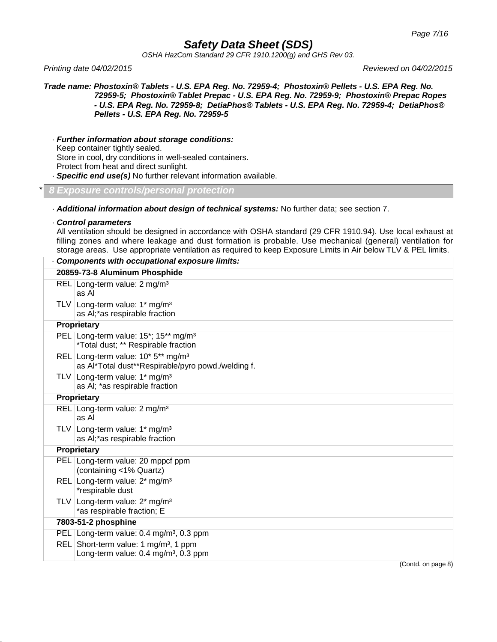*OSHA HazCom Standard 29 CFR 1910.1200(g) and GHS Rev 03.*

*Printing date 04/02/2015 Reviewed on 04/02/2015*

*Trade name: Phostoxin® Tablets - U.S. EPA Reg. No. 72959-4; Phostoxin® Pellets - U.S. EPA Reg. No. 72959-5; Phostoxin® Tablet Prepac - U.S. EPA Reg. No. 72959-9; Phostoxin® Prepac Ropes - U.S. EPA Reg. No. 72959-8; DetiaPhos® Tablets - U.S. EPA Reg. No. 72959-4; DetiaPhos® Pellets - U.S. EPA Reg. No. 72959-5*

· *Further information about storage conditions:*

Keep container tightly sealed.

Store in cool, dry conditions in well-sealed containers.

Protect from heat and direct sunlight.

· *Specific end use(s)* No further relevant information available.

#### \* *8 Exposure controls/personal protection*

- · *Additional information about design of technical systems:* No further data; see section 7.
- · *Control parameters*

All ventilation should be designed in accordance with OSHA standard (29 CFR 1910.94). Use local exhaust at filling zones and where leakage and dust formation is probable. Use mechanical (general) ventilation for storage areas. Use appropriate ventilation as required to keep Exposure Limits in Air below TLV & PEL limits.

|            | Components with occupational exposure limits:                                                        |
|------------|------------------------------------------------------------------------------------------------------|
|            | 20859-73-8 Aluminum Phosphide                                                                        |
|            | REL Long-term value: 2 mg/m <sup>3</sup><br>as Al                                                    |
|            | TLV Long-term value: 1* mg/m <sup>3</sup><br>as AI;*as respirable fraction                           |
|            | Proprietary                                                                                          |
|            | PEL Long-term value: 15*; 15** mg/m <sup>3</sup><br>*Total dust; ** Respirable fraction              |
|            | REL Long-term value: 10* 5** mg/m <sup>3</sup><br>as Al*Total dust**Respirable/pyro powd./welding f. |
|            | TLV Long-term value: 1* mg/m <sup>3</sup><br>as AI; *as respirable fraction                          |
|            | Proprietary                                                                                          |
|            | REL Long-term value: 2 mg/m <sup>3</sup><br>as Al                                                    |
|            | TLV Long-term value: $1*$ mg/m <sup>3</sup><br>as AI;*as respirable fraction                         |
|            | Proprietary                                                                                          |
|            | PEL Long-term value: 20 mppcf ppm<br>(containing <1% Quartz)                                         |
|            | REL Long-term value: 2* mg/m <sup>3</sup><br>*respirable dust                                        |
| <b>TLV</b> | Long-term value: 2* mg/m <sup>3</sup><br>*as respirable fraction; E                                  |
|            | 7803-51-2 phosphine                                                                                  |
|            | PEL Long-term value: 0.4 mg/m <sup>3</sup> , 0.3 ppm                                                 |
| <b>REL</b> | Short-term value: 1 mg/m <sup>3</sup> , 1 ppm<br>Long-term value: 0.4 mg/m <sup>3</sup> , 0.3 ppm    |
|            | (Contd. on page 8)                                                                                   |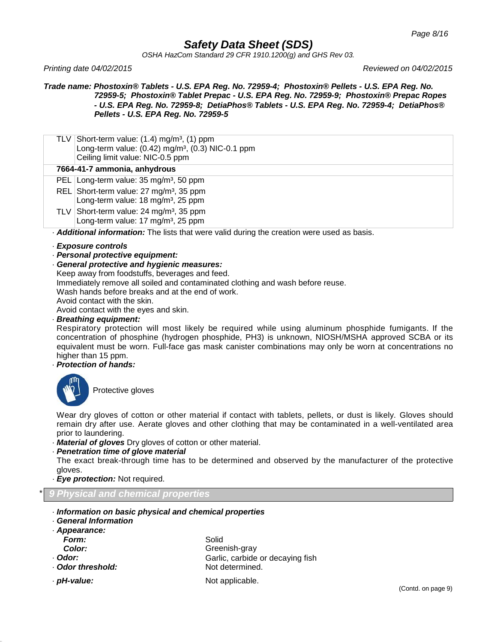*OSHA HazCom Standard 29 CFR 1910.1200(g) and GHS Rev 03.*

*Printing date 04/02/2015 Reviewed on 04/02/2015*

*Trade name: Phostoxin® Tablets - U.S. EPA Reg. No. 72959-4; Phostoxin® Pellets - U.S. EPA Reg. No. 72959-5; Phostoxin® Tablet Prepac - U.S. EPA Reg. No. 72959-9; Phostoxin® Prepac Ropes - U.S. EPA Reg. No. 72959-8; DetiaPhos® Tablets - U.S. EPA Reg. No. 72959-4; DetiaPhos® Pellets - U.S. EPA Reg. No. 72959-5*

TLV Short-term value:  $(1.4)$  mg/m<sup>3</sup>,  $(1)$  ppm Long-term value:  $(0.42)$  mg/m<sup>3</sup>,  $(0.3)$  NIC-0.1 ppm Ceiling limit value: NIC-0.5 ppm

### **7664-41-7 ammonia, anhydrous**

- PEL Long-term value: 35 mg/m<sup>3</sup>, 50 ppm
- REL Short-term value: 27 mg/m<sup>3</sup>, 35 ppm Long-term value: 18 mg/m<sup>3</sup>, 25 ppm
- TLV Short-term value: 24 mg/m³, 35 ppm Long-term value: 17 mg/m<sup>3</sup>, 25 ppm

· *Additional information:* The lists that were valid during the creation were used as basis.

#### · *Exposure controls*

- · *Personal protective equipment:*
- · *General protective and hygienic measures:*

Keep away from foodstuffs, beverages and feed.

Immediately remove all soiled and contaminated clothing and wash before reuse.

Wash hands before breaks and at the end of work.

Avoid contact with the skin.

Avoid contact with the eyes and skin.

#### · *Breathing equipment:*

Respiratory protection will most likely be required while using aluminum phosphide fumigants. If the concentration of phosphine (hydrogen phosphide, PH3) is unknown, NIOSH/MSHA approved SCBA or its equivalent must be worn. Full-face gas mask canister combinations may only be worn at concentrations no higher than 15 ppm.

#### · *Protection of hands:*



Protective gloves

Wear dry gloves of cotton or other material if contact with tablets, pellets, or dust is likely. Gloves should remain dry after use. Aerate gloves and other clothing that may be contaminated in a well-ventilated area prior to laundering.

- · *Material of gloves* Dry gloves of cotton or other material.
- · *Penetration time of glove material*

The exact break-through time has to be determined and observed by the manufacturer of the protective gloves.

· *Eye protection:* Not required.

### \* *9 Physical and chemical properties*

- · *Information on basic physical and chemical properties*
- · *General Information*

| Appearance:     |                                  |
|-----------------|----------------------------------|
| Form:           | Solid                            |
| Color:          | Greenish-gray                    |
| . Odor:         | Garlic, carbide or decaying fish |
| Odor threshold: | Not determined.                  |
| · pH-value:     | Not applicable.                  |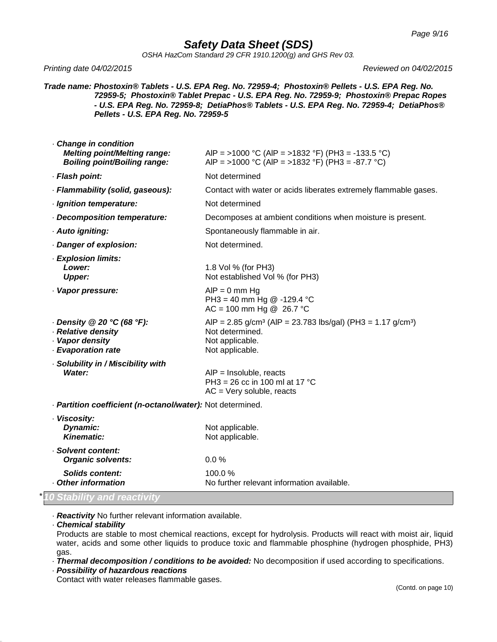*OSHA HazCom Standard 29 CFR 1910.1200(g) and GHS Rev 03.*

*Printing date 04/02/2015 Reviewed on 04/02/2015*

*Trade name: Phostoxin® Tablets - U.S. EPA Reg. No. 72959-4; Phostoxin® Pellets - U.S. EPA Reg. No. 72959-5; Phostoxin® Tablet Prepac - U.S. EPA Reg. No. 72959-9; Phostoxin® Prepac Ropes - U.S. EPA Reg. No. 72959-8; DetiaPhos® Tablets - U.S. EPA Reg. No. 72959-4; DetiaPhos® Pellets - U.S. EPA Reg. No. 72959-5*

| Change in condition<br><b>Melting point/Melting range:</b><br><b>Boiling point/Boiling range:</b> | AIP = >1000 °C (AIP = >1832 °F) (PH3 = -133.5 °C)<br>AIP = >1000 °C (AIP = >1832 °F) (PH3 = -87.7 °C)                                              |
|---------------------------------------------------------------------------------------------------|----------------------------------------------------------------------------------------------------------------------------------------------------|
| · Flash point:                                                                                    | Not determined                                                                                                                                     |
| · Flammability (solid, gaseous):                                                                  | Contact with water or acids liberates extremely flammable gases.                                                                                   |
| · Ignition temperature:                                                                           | Not determined                                                                                                                                     |
| - Decomposition temperature:                                                                      | Decomposes at ambient conditions when moisture is present.                                                                                         |
| · Auto igniting:                                                                                  | Spontaneously flammable in air.                                                                                                                    |
| Danger of explosion:                                                                              | Not determined.                                                                                                                                    |
| · Explosion limits:<br>Lower:<br><b>Upper:</b>                                                    | 1.8 Vol % (for PH3)<br>Not established Vol % (for PH3)                                                                                             |
| · Vapor pressure:                                                                                 | $AIP = 0$ mm Hg<br>PH3 = 40 mm Hg @ -129.4 °C<br>$AC = 100$ mm Hg @ 26.7 °C                                                                        |
| Density @ 20 °C (68 °F):<br>· Relative density<br>· Vapor density<br>- Evaporation rate           | AIP = $2.85$ g/cm <sup>3</sup> (AIP = $23.783$ lbs/gal) (PH3 = $1.17$ g/cm <sup>3</sup> )<br>Not determined.<br>Not applicable.<br>Not applicable. |
| · Solubility in / Miscibility with<br>Water:                                                      | $AIP = Insoluble, reacts$<br>PH3 = 26 cc in 100 ml at 17 °C<br>$AC = Very$ soluble, reacts                                                         |
| - Partition coefficient (n-octanol/water): Not determined.                                        |                                                                                                                                                    |
| · Viscosity:<br>Dynamic:<br>Kinematic:                                                            | Not applicable.<br>Not applicable.                                                                                                                 |
| · Solvent content:<br><b>Organic solvents:</b>                                                    | 0.0%                                                                                                                                               |
| <b>Solids content:</b><br>- Other information                                                     | 100.0%<br>No further relevant information available.                                                                                               |

· *Reactivity* No further relevant information available.

· *Chemical stability*

Products are stable to most chemical reactions, except for hydrolysis. Products will react with moist air, liquid water, acids and some other liquids to produce toxic and flammable phosphine (hydrogen phosphide, PH3) gas.

· *Thermal decomposition / conditions to be avoided:* No decomposition if used according to specifications.

· *Possibility of hazardous reactions*

Contact with water releases flammable gases.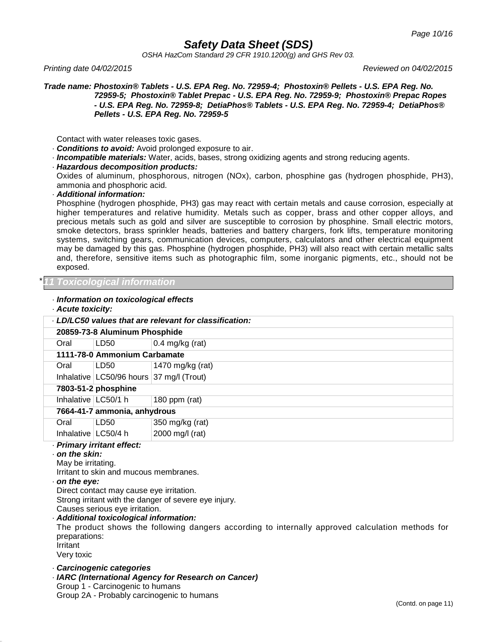*OSHA HazCom Standard 29 CFR 1910.1200(g) and GHS Rev 03.*

*Printing date 04/02/2015 Reviewed on 04/02/2015*

*Trade name: Phostoxin® Tablets - U.S. EPA Reg. No. 72959-4; Phostoxin® Pellets - U.S. EPA Reg. No. 72959-5; Phostoxin® Tablet Prepac - U.S. EPA Reg. No. 72959-9; Phostoxin® Prepac Ropes - U.S. EPA Reg. No. 72959-8; DetiaPhos® Tablets - U.S. EPA Reg. No. 72959-4; DetiaPhos® Pellets - U.S. EPA Reg. No. 72959-5*

Contact with water releases toxic gases.

- · *Conditions to avoid:* Avoid prolonged exposure to air.
- · *Incompatible materials:* Water, acids, bases, strong oxidizing agents and strong reducing agents.
- · *Hazardous decomposition products:*

Oxides of aluminum, phosphorous, nitrogen (NOx), carbon, phosphine gas (hydrogen phosphide, PH3), ammonia and phosphoric acid.

#### · *Additional information:*

Phosphine (hydrogen phosphide, PH3) gas may react with certain metals and cause corrosion, especially at higher temperatures and relative humidity. Metals such as copper, brass and other copper alloys, and precious metals such as gold and silver are susceptible to corrosion by phosphine. Small electric motors, smoke detectors, brass sprinkler heads, batteries and battery chargers, fork lifts, temperature monitoring systems, switching gears, communication devices, computers, calculators and other electrical equipment may be damaged by this gas. Phosphine (hydrogen phosphide, PH3) will also react with certain metallic salts and, therefore, sensitive items such as photographic film, some inorganic pigments, etc., should not be exposed.

### \**11 Toxicological information*

#### · *Information on toxicological effects*

|  |  | · Acute toxicity: |
|--|--|-------------------|
|--|--|-------------------|

|                                                                                                                                                                                                                                                                                                                                                                                                                                                                    | LD/LC50 values that are relevant for classification:        |                                                                                                    |  |
|--------------------------------------------------------------------------------------------------------------------------------------------------------------------------------------------------------------------------------------------------------------------------------------------------------------------------------------------------------------------------------------------------------------------------------------------------------------------|-------------------------------------------------------------|----------------------------------------------------------------------------------------------------|--|
|                                                                                                                                                                                                                                                                                                                                                                                                                                                                    | 20859-73-8 Aluminum Phosphide                               |                                                                                                    |  |
| Oral                                                                                                                                                                                                                                                                                                                                                                                                                                                               | LD50                                                        | $0.4$ mg/kg (rat)                                                                                  |  |
|                                                                                                                                                                                                                                                                                                                                                                                                                                                                    | 1111-78-0 Ammonium Carbamate                                |                                                                                                    |  |
| Oral                                                                                                                                                                                                                                                                                                                                                                                                                                                               | LD50                                                        | 1470 mg/kg (rat)                                                                                   |  |
|                                                                                                                                                                                                                                                                                                                                                                                                                                                                    | Inhalative   LC50/96 hours   37 mg/l (Trout)                |                                                                                                    |  |
|                                                                                                                                                                                                                                                                                                                                                                                                                                                                    | 7803-51-2 phosphine                                         |                                                                                                    |  |
| Inhalative LC50/1 h                                                                                                                                                                                                                                                                                                                                                                                                                                                |                                                             | 180 ppm $(rat)$                                                                                    |  |
|                                                                                                                                                                                                                                                                                                                                                                                                                                                                    | 7664-41-7 ammonia, anhydrous                                |                                                                                                    |  |
| Oral                                                                                                                                                                                                                                                                                                                                                                                                                                                               | LD50                                                        | 350 mg/kg (rat)                                                                                    |  |
| Inhalative   LC50/4 h                                                                                                                                                                                                                                                                                                                                                                                                                                              |                                                             | 2000 mg/l (rat)                                                                                    |  |
| · Primary irritant effect:<br>on the skin:<br>May be irritating.<br>Irritant to skin and mucous membranes.<br>$\cdot$ on the eye:<br>Direct contact may cause eye irritation.<br>Strong irritant with the danger of severe eye injury.<br>Causes serious eye irritation.<br>· Additional toxicological information:<br>The product shows the following dangers according to internally approved calculation methods for<br>preparations:<br>Irritant<br>Very toxic |                                                             |                                                                                                    |  |
|                                                                                                                                                                                                                                                                                                                                                                                                                                                                    | Carcinogenic categories<br>Group 1 - Carcinogenic to humans | · IARC (International Agency for Research on Cancer)<br>Group 2A - Probably carcinogenic to humans |  |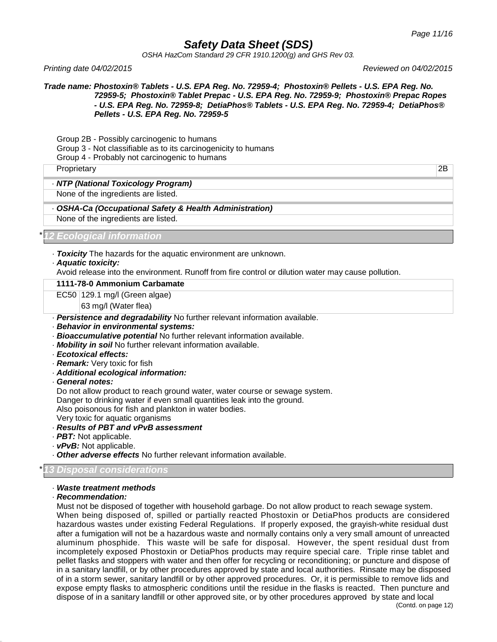*OSHA HazCom Standard 29 CFR 1910.1200(g) and GHS Rev 03.*

*Printing date 04/02/2015 Reviewed on 04/02/2015*

*Trade name: Phostoxin® Tablets - U.S. EPA Reg. No. 72959-4; Phostoxin® Pellets - U.S. EPA Reg. No. 72959-5; Phostoxin® Tablet Prepac - U.S. EPA Reg. No. 72959-9; Phostoxin® Prepac Ropes - U.S. EPA Reg. No. 72959-8; DetiaPhos® Tablets - U.S. EPA Reg. No. 72959-4; DetiaPhos® Pellets - U.S. EPA Reg. No. 72959-5*

Group 2B - Possibly carcinogenic to humans

Group 3 - Not classifiable as to its carcinogenicity to humans

Group 4 - Probably not carcinogenic to humans

Proprietary 2B

#### · *NTP (National Toxicology Program)*

None of the ingredients are listed.

· *OSHA-Ca (Occupational Safety & Health Administration)* None of the ingredients are listed.

\**12 Ecological information*

· *Toxicity* The hazards for the aquatic environment are unknown.

· *Aquatic toxicity:*

Avoid release into the environment. Runoff from fire control or dilution water may cause pollution.

### **1111-78-0 Ammonium Carbamate**

EC50 129.1 mg/l (Green algae)

63 mg/l (Water flea)

- · *Persistence and degradability* No further relevant information available.
- · *Behavior in environmental systems:*
- · *Bioaccumulative potential* No further relevant information available.
- · *Mobility in soil* No further relevant information available.
- · *Ecotoxical effects:*
- · *Remark:* Very toxic for fish
- · *Additional ecological information:*
- · *General notes:*

Do not allow product to reach ground water, water course or sewage system.

Danger to drinking water if even small quantities leak into the ground.

Also poisonous for fish and plankton in water bodies.

Very toxic for aquatic organisms

- · *Results of PBT and vPvB assessment*
- · *PBT:* Not applicable.
- · *vPvB:* Not applicable.
- · *Other adverse effects* No further relevant information available.

### \**13 Disposal considerations*

#### · *Waste treatment methods*

#### · *Recommendation:*

Must not be disposed of together with household garbage. Do not allow product to reach sewage system. When being disposed of, spilled or partially reacted Phostoxin or DetiaPhos products are considered hazardous wastes under existing Federal Regulations. If properly exposed, the grayish-white residual dust after a fumigation will not be a hazardous waste and normally contains only a very small amount of unreacted aluminum phosphide. This waste will be safe for disposal. However, the spent residual dust from incompletely exposed Phostoxin or DetiaPhos products may require special care. Triple rinse tablet and pellet flasks and stoppers with water and then offer for recycling or reconditioning; or puncture and dispose of in a sanitary landfill, or by other procedures approved by state and local authorities. Rinsate may be disposed of in a storm sewer, sanitary landfill or by other approved procedures. Or, it is permissible to remove lids and expose empty flasks to atmospheric conditions until the residue in the flasks is reacted. Then puncture and dispose of in a sanitary landfill or other approved site, or by other procedures approved by state and local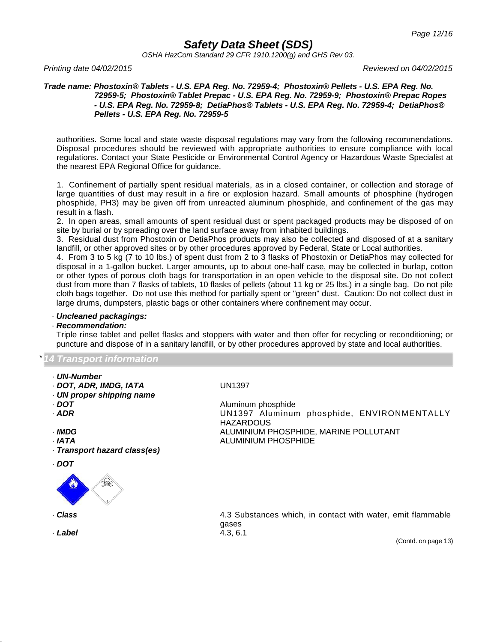*OSHA HazCom Standard 29 CFR 1910.1200(g) and GHS Rev 03.*

*Printing date 04/02/2015 Reviewed on 04/02/2015*

#### *Trade name: Phostoxin® Tablets - U.S. EPA Reg. No. 72959-4; Phostoxin® Pellets - U.S. EPA Reg. No. 72959-5; Phostoxin® Tablet Prepac - U.S. EPA Reg. No. 72959-9; Phostoxin® Prepac Ropes - U.S. EPA Reg. No. 72959-8; DetiaPhos® Tablets - U.S. EPA Reg. No. 72959-4; DetiaPhos® Pellets - U.S. EPA Reg. No. 72959-5*

authorities. Some local and state waste disposal regulations may vary from the following recommendations. Disposal procedures should be reviewed with appropriate authorities to ensure compliance with local regulations. Contact your State Pesticide or Environmental Control Agency or Hazardous Waste Specialist at the nearest EPA Regional Office for guidance.

1. Confinement of partially spent residual materials, as in a closed container, or collection and storage of large quantities of dust may result in a fire or explosion hazard. Small amounts of phosphine (hydrogen phosphide, PH3) may be given off from unreacted aluminum phosphide, and confinement of the gas may result in a flash.

2. In open areas, small amounts of spent residual dust or spent packaged products may be disposed of on site by burial or by spreading over the land surface away from inhabited buildings.

3. Residual dust from Phostoxin or DetiaPhos products may also be collected and disposed of at a sanitary landfill, or other approved sites or by other procedures approved by Federal, State or Local authorities.

4. From 3 to 5 kg (7 to 10 lbs.) of spent dust from 2 to 3 flasks of Phostoxin or DetiaPhos may collected for disposal in a 1-gallon bucket. Larger amounts, up to about one-half case, may be collected in burlap, cotton or other types of porous cloth bags for transportation in an open vehicle to the disposal site. Do not collect dust from more than 7 flasks of tablets, 10 flasks of pellets (about 11 kg or 25 lbs.) in a single bag. Do not pile cloth bags together. Do not use this method for partially spent or "green" dust. Caution: Do not collect dust in large drums, dumpsters, plastic bags or other containers where confinement may occur.

### · *Uncleaned packagings:*

#### · *Recommendation:*

Triple rinse tablet and pellet flasks and stoppers with water and then offer for recycling or reconditioning; or puncture and dispose of in a sanitary landfill, or by other procedures approved by state and local authorities.

\**14 Transport information*

- · *UN-Number*
- · *DOT, ADR, IMDG, IATA* UN1397
- · *UN proper shipping name*
- 
- 
- 
- 
- · *Transport hazard class(es)*
- · *DOT*



· *Label* 4.3, 6.1

· *DOT* Aluminum phosphide<br>· *ADR* Aluminum **ADR** Aluminum **ADR** Aluminum UN1397 Aluminum phosphide, ENVIRONMENTALLY **HAZARDOUS** · *IMDG* ALUMINIUM PHOSPHIDE, MARINE POLLUTANT · *IATA* ALUMINIUM PHOSPHIDE

· **Class A.3 Substances which, in contact with water, emit flammable Class** gases

(Contd. on page 13)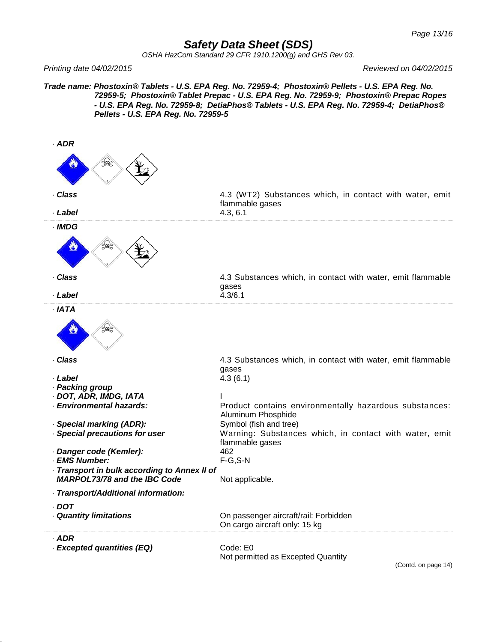*OSHA HazCom Standard 29 CFR 1910.1200(g) and GHS Rev 03.*

*Printing date 04/02/2015 Reviewed on 04/02/2015*

*Trade name: Phostoxin® Tablets - U.S. EPA Reg. No. 72959-4; Phostoxin® Pellets - U.S. EPA Reg. No. 72959-5; Phostoxin® Tablet Prepac - U.S. EPA Reg. No. 72959-9; Phostoxin® Prepac Ropes - U.S. EPA Reg. No. 72959-8; DetiaPhos® Tablets - U.S. EPA Reg. No. 72959-4; DetiaPhos® Pellets - U.S. EPA Reg. No. 72959-5*

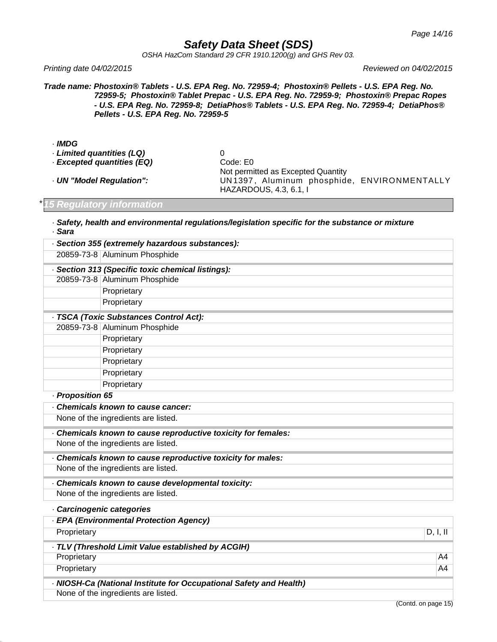*OSHA HazCom Standard 29 CFR 1910.1200(g) and GHS Rev 03.*

*Printing date 04/02/2015 Reviewed on 04/02/2015*

*Trade name: Phostoxin® Tablets - U.S. EPA Reg. No. 72959-4; Phostoxin® Pellets - U.S. EPA Reg. No. 72959-5; Phostoxin® Tablet Prepac - U.S. EPA Reg. No. 72959-9; Phostoxin® Prepac Ropes - U.S. EPA Reg. No. 72959-8; DetiaPhos® Tablets - U.S. EPA Reg. No. 72959-4; DetiaPhos® Pellets - U.S. EPA Reg. No. 72959-5*

- · *IMDG*
- · *Limited quantities (LQ)* 0
- · *Excepted quantities (EQ)* Code: E0

Not permitted as Excepted Quantity · *UN "Model Regulation":* UN 1397 , Aluminum phosphide, ENVIRONMENTALLY HAZARDOUS, 4.3, 6.1, I

### \**15 Regulatory information*

· *Safety, health and environmental regulations/legislation specific for the substance or mixture* · *Sara*

|                  | · Section 355 (extremely hazardous substances):                    |          |
|------------------|--------------------------------------------------------------------|----------|
|                  | 20859-73-8 Aluminum Phosphide                                      |          |
|                  | · Section 313 (Specific toxic chemical listings):                  |          |
|                  | 20859-73-8 Aluminum Phosphide                                      |          |
|                  | Proprietary                                                        |          |
|                  | Proprietary                                                        |          |
|                  | - TSCA (Toxic Substances Control Act):                             |          |
|                  | 20859-73-8 Aluminum Phosphide                                      |          |
|                  | Proprietary                                                        |          |
|                  | Proprietary                                                        |          |
|                  | Proprietary                                                        |          |
|                  | Proprietary                                                        |          |
|                  | Proprietary                                                        |          |
| - Proposition 65 |                                                                    |          |
|                  | Chemicals known to cause cancer:                                   |          |
|                  | None of the ingredients are listed.                                |          |
|                  | Chemicals known to cause reproductive toxicity for females:        |          |
|                  | None of the ingredients are listed.                                |          |
|                  | . Chemicals known to cause reproductive toxicity for males:        |          |
|                  | None of the ingredients are listed.                                |          |
|                  | Chemicals known to cause developmental toxicity:                   |          |
|                  | None of the ingredients are listed.                                |          |
|                  | · Carcinogenic categories                                          |          |
|                  | - EPA (Environmental Protection Agency)                            |          |
| Proprietary      |                                                                    | D, I, II |
|                  | · TLV (Threshold Limit Value established by ACGIH)                 |          |
| Proprietary      |                                                                    | A4       |
| Proprietary      |                                                                    | A4       |
|                  | - NIOSH-Ca (National Institute for Occupational Safety and Health) |          |
|                  | None of the ingredients are listed.                                |          |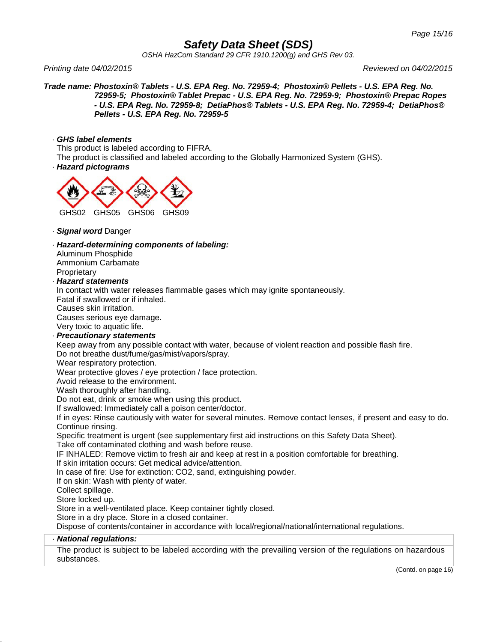*OSHA HazCom Standard 29 CFR 1910.1200(g) and GHS Rev 03.*

*Printing date 04/02/2015 Reviewed on 04/02/2015*

*Trade name: Phostoxin® Tablets - U.S. EPA Reg. No. 72959-4; Phostoxin® Pellets - U.S. EPA Reg. No. 72959-5; Phostoxin® Tablet Prepac - U.S. EPA Reg. No. 72959-9; Phostoxin® Prepac Ropes - U.S. EPA Reg. No. 72959-8; DetiaPhos® Tablets - U.S. EPA Reg. No. 72959-4; DetiaPhos® Pellets - U.S. EPA Reg. No. 72959-5*

#### · *GHS label elements*

This product is labeled according to FIFRA.

The product is classified and labeled according to the Globally Harmonized System (GHS).

· *Hazard pictograms*



- · *Signal word* Danger
- · *Hazard-determining components of labeling:*
- Aluminum Phosphide Ammonium Carbamate **Proprietary**

#### · *Hazard statements*

In contact with water releases flammable gases which may ignite spontaneously.

Fatal if swallowed or if inhaled.

Causes skin irritation.

Causes serious eye damage.

Very toxic to aquatic life.

· *Precautionary statements*

Keep away from any possible contact with water, because of violent reaction and possible flash fire. Do not breathe dust/fume/gas/mist/vapors/spray.

Wear respiratory protection.

Wear protective gloves / eye protection / face protection.

Avoid release to the environment.

Wash thoroughly after handling.

Do not eat, drink or smoke when using this product.

If swallowed: Immediately call a poison center/doctor.

If in eyes: Rinse cautiously with water for several minutes. Remove contact lenses, if present and easy to do. Continue rinsing.

Specific treatment is urgent (see supplementary first aid instructions on this Safety Data Sheet).

Take off contaminated clothing and wash before reuse.

IF INHALED: Remove victim to fresh air and keep at rest in a position comfortable for breathing.

If skin irritation occurs: Get medical advice/attention.

In case of fire: Use for extinction: CO2, sand, extinguishing powder.

If on skin: Wash with plenty of water.

Collect spillage.

Store locked up.

Store in a well-ventilated place. Keep container tightly closed.

Store in a dry place. Store in a closed container.

Dispose of contents/container in accordance with local/regional/national/international regulations.

#### · *National regulations:*

The product is subject to be labeled according with the prevailing version of the regulations on hazardous substances.